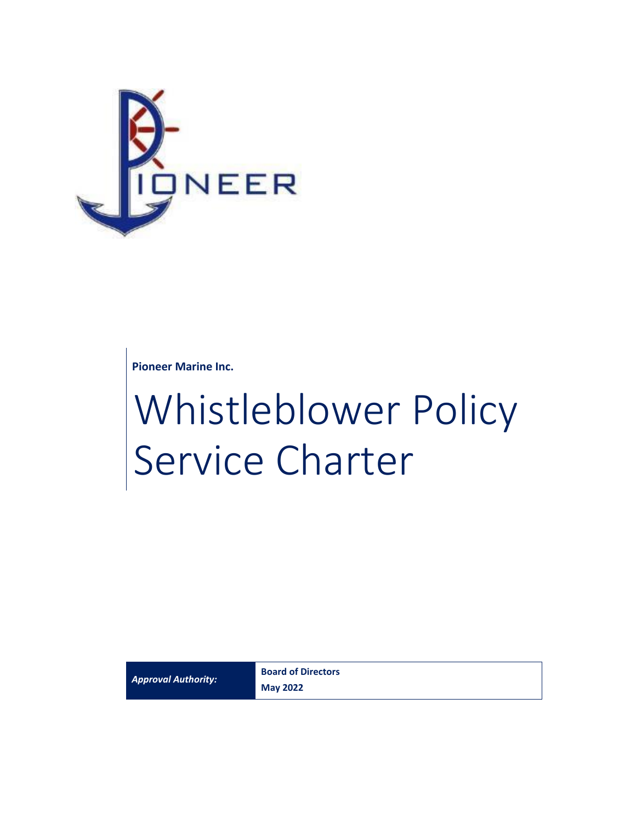

**Pioneer Marine Inc.**

# Whistleblower Policy Service Charter

*Approval Authority:*

**Board of Directors May 2022**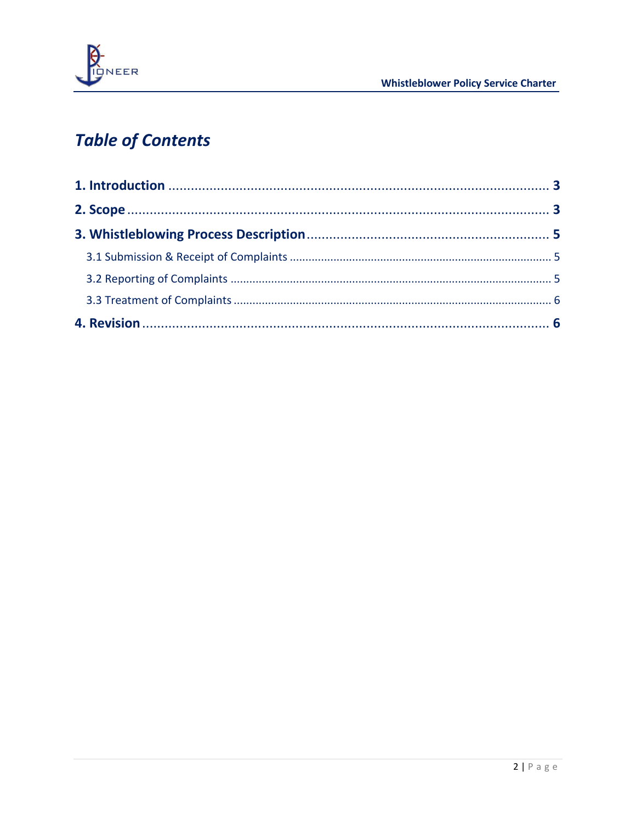

## **Table of Contents**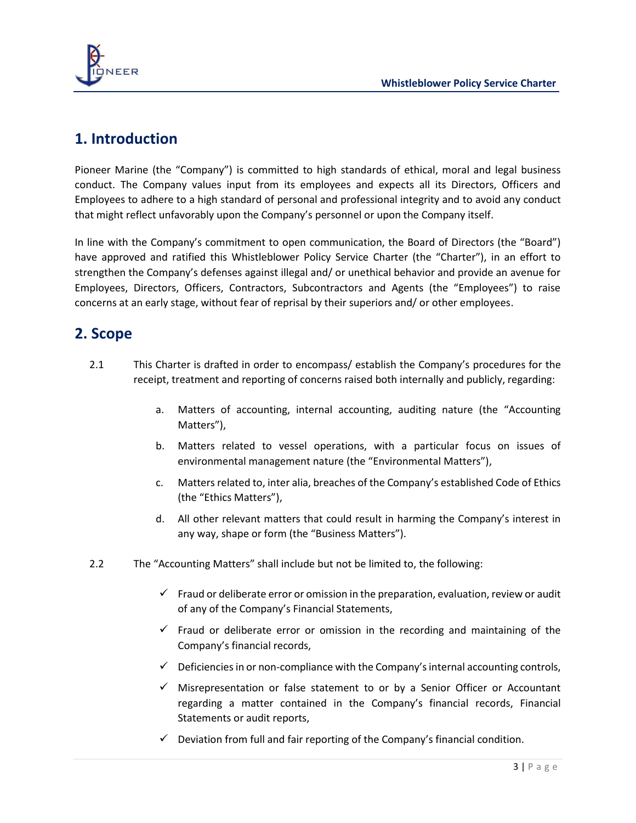

## <span id="page-2-0"></span>**1. Introduction**

Pioneer Marine (the "Company") is committed to high standards of ethical, moral and legal business conduct. The Company values input from its employees and expects all its Directors, Officers and Employees to adhere to a high standard of personal and professional integrity and to avoid any conduct that might reflect unfavorably upon the Company's personnel or upon the Company itself.

In line with the Company's commitment to open communication, the Board of Directors (the "Board") have approved and ratified this Whistleblower Policy Service Charter (the "Charter"), in an effort to strengthen the Company's defenses against illegal and/ or unethical behavior and provide an avenue for Employees, Directors, Officers, Contractors, Subcontractors and Agents (the "Employees") to raise concerns at an early stage, without fear of reprisal by their superiors and/ or other employees.

## <span id="page-2-1"></span>**2. Scope**

- 2.1 This Charter is drafted in order to encompass/ establish the Company's procedures for the receipt, treatment and reporting of concerns raised both internally and publicly, regarding:
	- a. Matters of accounting, internal accounting, auditing nature (the "Accounting Matters"),
	- b. Matters related to vessel operations, with a particular focus on issues of environmental management nature (the "Environmental Matters"),
	- c. Matters related to, inter alia, breaches of the Company's established Code of Ethics (the "Ethics Matters"),
	- d. All other relevant matters that could result in harming the Company's interest in any way, shape or form (the "Business Matters").
- 2.2 The "Accounting Matters" shall include but not be limited to, the following:
	- $\checkmark$  Fraud or deliberate error or omission in the preparation, evaluation, review or audit of any of the Company's Financial Statements,
	- $\checkmark$  Fraud or deliberate error or omission in the recording and maintaining of the Company's financial records,
	- $\checkmark$  Deficiencies in or non-compliance with the Company's internal accounting controls,
	- ✓ Misrepresentation or false statement to or by a Senior Officer or Accountant regarding a matter contained in the Company's financial records, Financial Statements or audit reports,
	- $\checkmark$  Deviation from full and fair reporting of the Company's financial condition.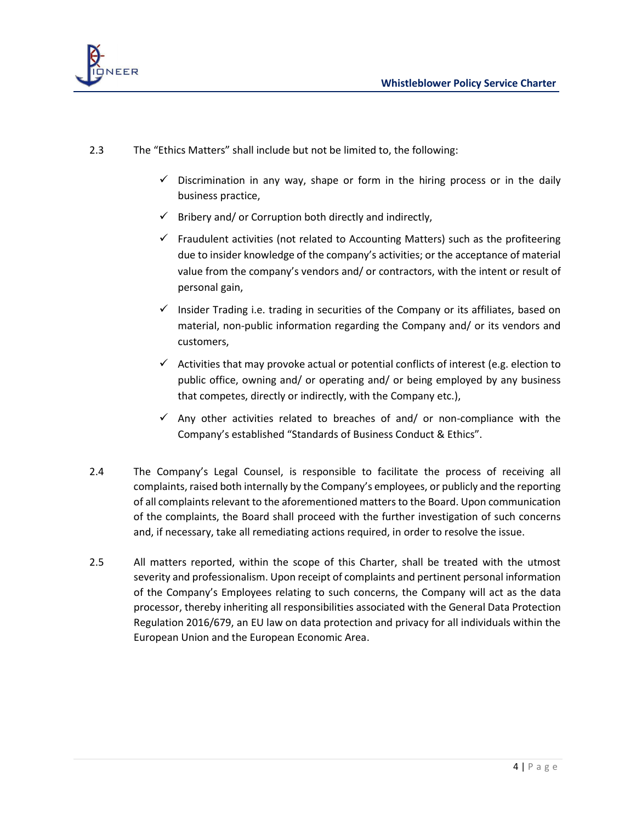

- 2.3 The "Ethics Matters" shall include but not be limited to, the following:
	- $\checkmark$  Discrimination in any way, shape or form in the hiring process or in the daily business practice,
	- $\checkmark$  Bribery and/ or Corruption both directly and indirectly,
	- $\checkmark$  Fraudulent activities (not related to Accounting Matters) such as the profiteering due to insider knowledge of the company's activities; or the acceptance of material value from the company's vendors and/ or contractors, with the intent or result of personal gain,
	- $\checkmark$  Insider Trading i.e. trading in securities of the Company or its affiliates, based on material, non-public information regarding the Company and/ or its vendors and customers,
	- $\checkmark$  Activities that may provoke actual or potential conflicts of interest (e.g. election to public office, owning and/ or operating and/ or being employed by any business that competes, directly or indirectly, with the Company etc.),
	- $\checkmark$  Any other activities related to breaches of and/ or non-compliance with the Company's established "Standards of Business Conduct & Ethics".
- 2.4 The Company's Legal Counsel, is responsible to facilitate the process of receiving all complaints, raised both internally by the Company's employees, or publicly and the reporting of all complaints relevant to the aforementioned matters to the Board. Upon communication of the complaints, the Board shall proceed with the further investigation of such concerns and, if necessary, take all remediating actions required, in order to resolve the issue.
- 2.5 All matters reported, within the scope of this Charter, shall be treated with the utmost severity and professionalism. Upon receipt of complaints and pertinent personal information of the Company's Employees relating to such concerns, the Company will act as the data processor, thereby inheriting all responsibilities associated with the General Data Protection Regulation 2016/679, an EU law on data protection and privacy for all individuals within the European Union and the European Economic Area.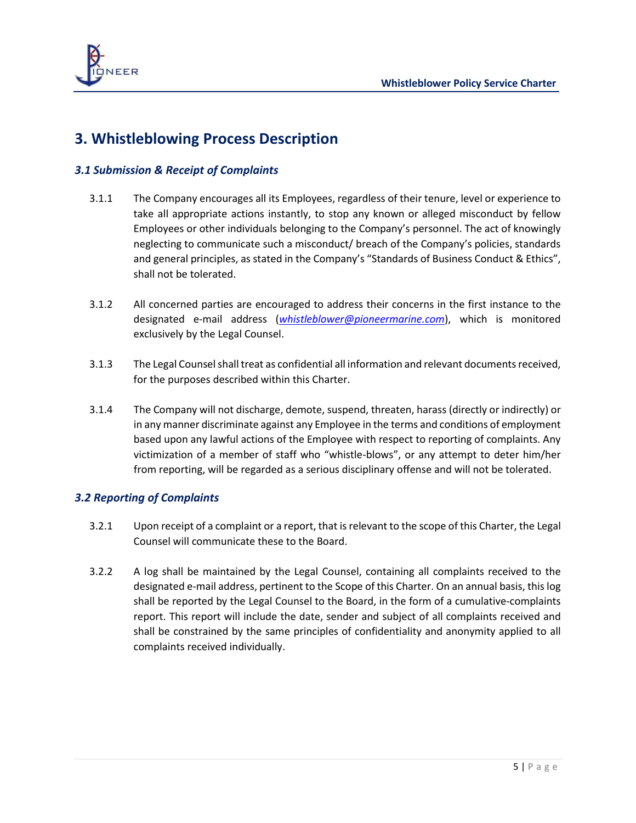

## <span id="page-4-0"></span>**3. Whistleblowing Process Description**

#### <span id="page-4-1"></span>*3.1 Submission & Receipt of Complaints*

- 3.1.1 The Company encourages all its Employees, regardless of their tenure, level or experience to take all appropriate actions instantly, to stop any known or alleged misconduct by fellow Employees or other individuals belonging to the Company's personnel. The act of knowingly neglecting to communicate such a misconduct/ breach of the Company's policies, standards and general principles, as stated in the Company's "Standards of Business Conduct & Ethics", shall not be tolerated.
- 3.1.2 All concerned parties are encouraged to address their concerns in the first instance to the designated e-mail address (*[whistleblower@pioneermarine.com](mailto:pioneerwhistleblower@pioneermarine.com)*), which is monitored exclusively by the Legal Counsel.
- 3.1.3 The Legal Counsel shall treat as confidential all information and relevant documents received, for the purposes described within this Charter.
- 3.1.4 The Company will not discharge, demote, suspend, threaten, harass (directly or indirectly) or in any manner discriminate against any Employee in the terms and conditions of employment based upon any lawful actions of the Employee with respect to reporting of complaints. Any victimization of a member of staff who "whistle-blows", or any attempt to deter him/her from reporting, will be regarded as a serious disciplinary offense and will not be tolerated.

#### <span id="page-4-2"></span>*3.2 Reporting of Complaints*

- 3.2.1 Upon receipt of a complaint or a report, that is relevant to the scope of this Charter, the Legal Counsel will communicate these to the Board.
- 3.2.2 A log shall be maintained by the Legal Counsel, containing all complaints received to the designated e-mail address, pertinent to the Scope of this Charter. On an annual basis, this log shall be reported by the Legal Counsel to the Board, in the form of a cumulative-complaints report. This report will include the date, sender and subject of all complaints received and shall be constrained by the same principles of confidentiality and anonymity applied to all complaints received individually.